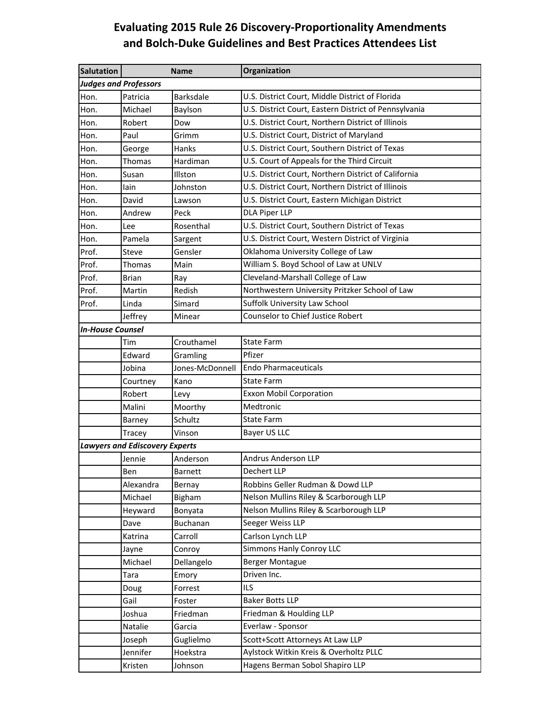## **Evaluating 2015 Rule 26 Discovery‐Proportionality Amendments and Bolch‐Duke Guidelines and Best Practices Attendees List**

| <b>Salutation</b>                     |                         | <b>Name</b>      | Organization                                          |  |  |  |
|---------------------------------------|-------------------------|------------------|-------------------------------------------------------|--|--|--|
| <b>Judges and Professors</b>          |                         |                  |                                                       |  |  |  |
| Hon.                                  | Patricia                | <b>Barksdale</b> | U.S. District Court, Middle District of Florida       |  |  |  |
| Hon.                                  | Michael                 | Baylson          | U.S. District Court, Eastern District of Pennsylvania |  |  |  |
| Hon.                                  | Robert                  | Dow              | U.S. District Court, Northern District of Illinois    |  |  |  |
| Hon.                                  | Paul                    | Grimm            | U.S. District Court, District of Maryland             |  |  |  |
| Hon.                                  | George                  | Hanks            | U.S. District Court, Southern District of Texas       |  |  |  |
| Hon.                                  | Thomas                  | Hardiman         | U.S. Court of Appeals for the Third Circuit           |  |  |  |
| Hon.                                  | Susan                   | Illston          | U.S. District Court, Northern District of California  |  |  |  |
| Hon.                                  | lain                    | Johnston         | U.S. District Court, Northern District of Illinois    |  |  |  |
| Hon.                                  | David                   | Lawson           | U.S. District Court, Eastern Michigan District        |  |  |  |
| Hon.                                  | Andrew                  | Peck             | <b>DLA Piper LLP</b>                                  |  |  |  |
| Hon.                                  | Lee                     | Rosenthal        | U.S. District Court, Southern District of Texas       |  |  |  |
| Hon.                                  | Pamela                  | Sargent          | U.S. District Court, Western District of Virginia     |  |  |  |
| Prof.                                 | Steve                   | Gensler          | Oklahoma University College of Law                    |  |  |  |
| Prof.                                 | Thomas                  | Main             | William S. Boyd School of Law at UNLV                 |  |  |  |
| Prof.                                 | <b>Brian</b>            | Ray              | Cleveland-Marshall College of Law                     |  |  |  |
| Prof.                                 | Martin                  | Redish           | Northwestern University Pritzker School of Law        |  |  |  |
| Prof.                                 | Linda                   | Simard           | Suffolk University Law School                         |  |  |  |
|                                       | Jeffrey                 | Minear           | Counselor to Chief Justice Robert                     |  |  |  |
|                                       | <b>In-House Counsel</b> |                  |                                                       |  |  |  |
|                                       | Tim                     | Crouthamel       | <b>State Farm</b>                                     |  |  |  |
|                                       | Edward                  | Gramling         | Pfizer                                                |  |  |  |
|                                       | Jobina                  | Jones-McDonnell  | <b>Endo Pharmaceuticals</b>                           |  |  |  |
|                                       | Courtney                | Kano             | <b>State Farm</b>                                     |  |  |  |
|                                       | Robert                  | Levy             | <b>Exxon Mobil Corporation</b>                        |  |  |  |
|                                       | Malini                  | Moorthy          | Medtronic                                             |  |  |  |
|                                       | <b>Barney</b>           | Schultz          | <b>State Farm</b>                                     |  |  |  |
|                                       | Tracey                  | Vinson           | Bayer US LLC                                          |  |  |  |
| <b>Lawyers and Ediscovery Experts</b> |                         |                  |                                                       |  |  |  |
|                                       | Jennie                  | Anderson         | <b>Andrus Anderson LLP</b>                            |  |  |  |
|                                       | Ben                     | <b>Barnett</b>   | Dechert LLP                                           |  |  |  |
|                                       | Alexandra               | Bernay           | Robbins Geller Rudman & Dowd LLP                      |  |  |  |
|                                       | Michael                 | <b>Bigham</b>    | Nelson Mullins Riley & Scarborough LLP                |  |  |  |
|                                       | Heyward                 | Bonyata          | Nelson Mullins Riley & Scarborough LLP                |  |  |  |
|                                       | Dave                    | Buchanan         | Seeger Weiss LLP                                      |  |  |  |
|                                       | Katrina                 | Carroll          | Carlson Lynch LLP                                     |  |  |  |
|                                       | Jayne                   | Conroy           | <b>Simmons Hanly Conroy LLC</b>                       |  |  |  |
|                                       | Michael                 | Dellangelo       | <b>Berger Montague</b>                                |  |  |  |
|                                       | Tara                    | Emory            | Driven Inc.                                           |  |  |  |
|                                       | Doug                    | Forrest          | <b>ILS</b>                                            |  |  |  |
|                                       | Gail                    | Foster           | <b>Baker Botts LLP</b>                                |  |  |  |
|                                       | Joshua                  | Friedman         | Friedman & Houlding LLP                               |  |  |  |
|                                       | Natalie                 | Garcia           | Everlaw - Sponsor                                     |  |  |  |
|                                       | Joseph                  | Guglielmo        | Scott+Scott Attorneys At Law LLP                      |  |  |  |
|                                       | Jennifer                | Hoekstra         | Aylstock Witkin Kreis & Overholtz PLLC                |  |  |  |
|                                       | Kristen                 | Johnson          | Hagens Berman Sobol Shapiro LLP                       |  |  |  |